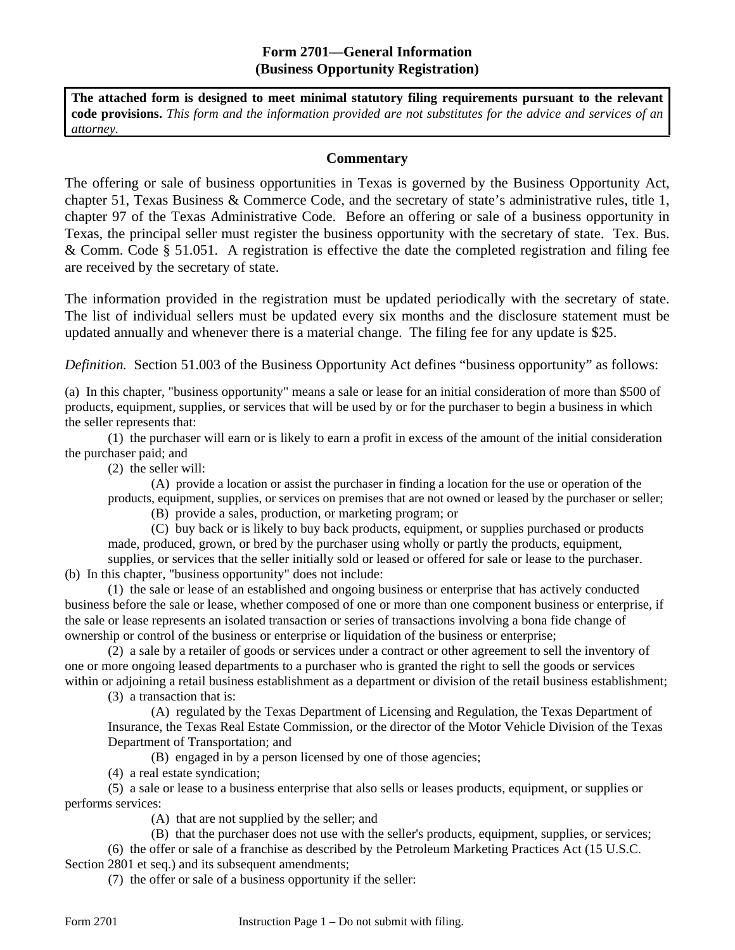#### **Form 2701—General Information (Business Opportunity Registration)**

**The attached form is designed to meet minimal statutory filing requirements pursuant to the relevant code provisions.** *This form and the information provided are not substitutes for the advice and services of an attorney.* 

#### **Commentary**

The offering or sale of business opportunities in Texas is governed by the Business Opportunity Act, chapter 51, Texas Business & Commerce Code, and the secretary of state's administrative rules, title 1, chapter 97 of the Texas Administrative Code. Before an offering or sale of a business opportunity in Texas, the principal seller must register the business opportunity with the secretary of state. Tex. Bus. & Comm. Code § 51.051. A registration is effective the date the completed registration and filing fee are received by the secretary of state.

The information provided in the registration must be updated periodically with the secretary of state. The list of individual sellers must be updated every six months and the disclosure statement must be updated annually and whenever there is a material change. The filing fee for any update is \$25.

*Definition.* Section 51.003 of the Business Opportunity Act defines "business opportunity" as follows:

(a) In this chapter, "business opportunity" means a sale or lease for an initial consideration of more than \$500 of products, equipment, supplies, or services that will be used by or for the purchaser to begin a business in which the seller represents that:

(1) the purchaser will earn or is likely to earn a profit in excess of the amount of the initial consideration the purchaser paid; and

(2) the seller will:

(A) provide a location or assist the purchaser in finding a location for the use or operation of the products, equipment, supplies, or services on premises that are not owned or leased by the purchaser or seller;

(B) provide a sales, production, or marketing program; or

(C) buy back or is likely to buy back products, equipment, or supplies purchased or products made, produced, grown, or bred by the purchaser using wholly or partly the products, equipment,

supplies, or services that the seller initially sold or leased or offered for sale or lease to the purchaser. (b) In this chapter, "business opportunity" does not include:

(1) the sale or lease of an established and ongoing business or enterprise that has actively conducted business before the sale or lease, whether composed of one or more than one component business or enterprise, if the sale or lease represents an isolated transaction or series of transactions involving a bona fide change of ownership or control of the business or enterprise or liquidation of the business or enterprise;

(2) a sale by a retailer of goods or services under a contract or other agreement to sell the inventory of one or more ongoing leased departments to a purchaser who is granted the right to sell the goods or services within or adjoining a retail business establishment as a department or division of the retail business establishment;

(3) a transaction that is:

(A) regulated by the Texas Department of Licensing and Regulation, the Texas Department of Insurance, the Texas Real Estate Commission, or the director of the Motor Vehicle Division of the Texas Department of Transportation; and

(B) engaged in by a person licensed by one of those agencies;

(4) a real estate syndication;

(5) a sale or lease to a business enterprise that also sells or leases products, equipment, or supplies or performs services:

(A) that are not supplied by the seller; and

(B) that the purchaser does not use with the seller's products, equipment, supplies, or services; (6) the offer or sale of a franchise as described by the Petroleum Marketing Practices Act (15 U.S.C. Section 2801 et seq.) and its subsequent amendments;

(7) the offer or sale of a business opportunity if the seller: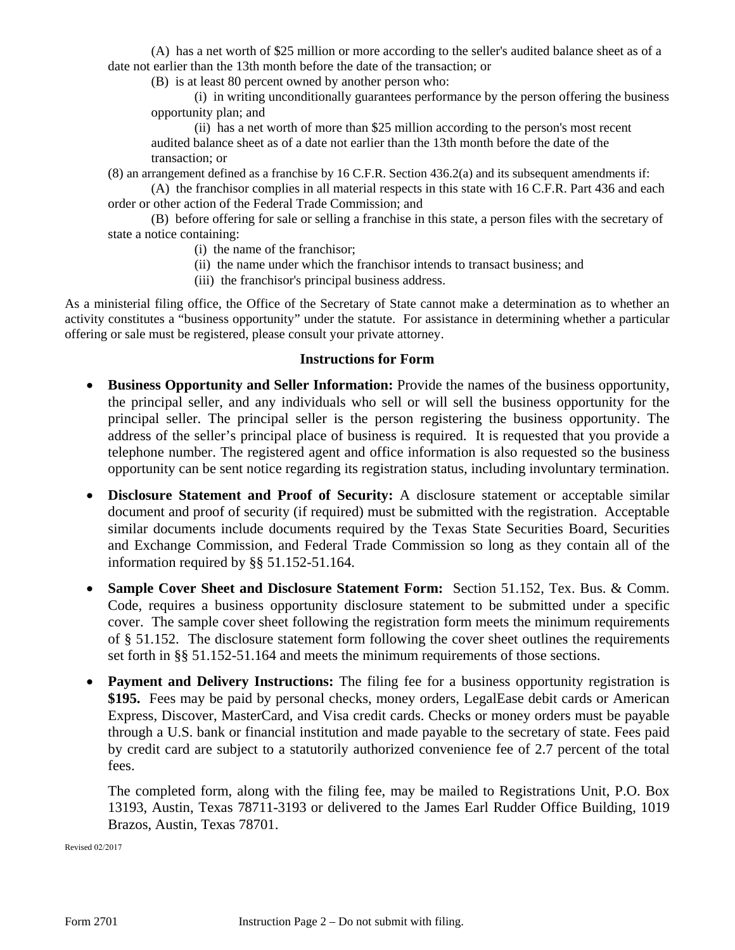(A) has a net worth of \$25 million or more according to the seller's audited balance sheet as of a date not earlier than the 13th month before the date of the transaction; or

(B) is at least 80 percent owned by another person who:

(i) in writing unconditionally guarantees performance by the person offering the business opportunity plan; and

(ii) has a net worth of more than \$25 million according to the person's most recent audited balance sheet as of a date not earlier than the 13th month before the date of the transaction; or

(8) an arrangement defined as a franchise by 16 C.F.R. Section 436.2(a) and its subsequent amendments if:

(A) the franchisor complies in all material respects in this state with 16 C.F.R. Part 436 and each order or other action of the Federal Trade Commission; and

(B) before offering for sale or selling a franchise in this state, a person files with the secretary of state a notice containing:

- (i) the name of the franchisor;
- (ii) the name under which the franchisor intends to transact business; and
- (iii) the franchisor's principal business address.

As a ministerial filing office, the Office of the Secretary of State cannot make a determination as to whether an activity constitutes a "business opportunity" under the statute. For assistance in determining whether a particular offering or sale must be registered, please consult your private attorney.

#### **Instructions for Form**

- **Business Opportunity and Seller Information:** Provide the names of the business opportunity, the principal seller, and any individuals who sell or will sell the business opportunity for the principal seller. The principal seller is the person registering the business opportunity. The address of the seller's principal place of business is required. It is requested that you provide a telephone number. The registered agent and office information is also requested so the business opportunity can be sent notice regarding its registration status, including involuntary termination.
- **Disclosure Statement and Proof of Security:** A disclosure statement or acceptable similar document and proof of security (if required) must be submitted with the registration. Acceptable similar documents include documents required by the Texas State Securities Board, Securities and Exchange Commission, and Federal Trade Commission so long as they contain all of the information required by §§ 51.152-51.164.
- **Sample Cover Sheet and Disclosure Statement Form:** Section 51.152, Tex. Bus. & Comm. Code, requires a business opportunity disclosure statement to be submitted under a specific cover. The sample cover sheet following the registration form meets the minimum requirements of § 51.152. The disclosure statement form following the cover sheet outlines the requirements set forth in §§ 51.152-51.164 and meets the minimum requirements of those sections.
- **Payment and Delivery Instructions:** The filing fee for a business opportunity registration is **\$195.** Fees may be paid by personal checks, money orders, LegalEase debit cards or American Express, Discover, MasterCard, and Visa credit cards. Checks or money orders must be payable through a U.S. bank or financial institution and made payable to the secretary of state. Fees paid by credit card are subject to a statutorily authorized convenience fee of 2.7 percent of the total fees.

The completed form, along with the filing fee, may be mailed to Registrations Unit, P.O. Box 13193, Austin, Texas 78711-3193 or delivered to the James Earl Rudder Office Building, 1019 Brazos, Austin, Texas 78701.

Revised 02/2017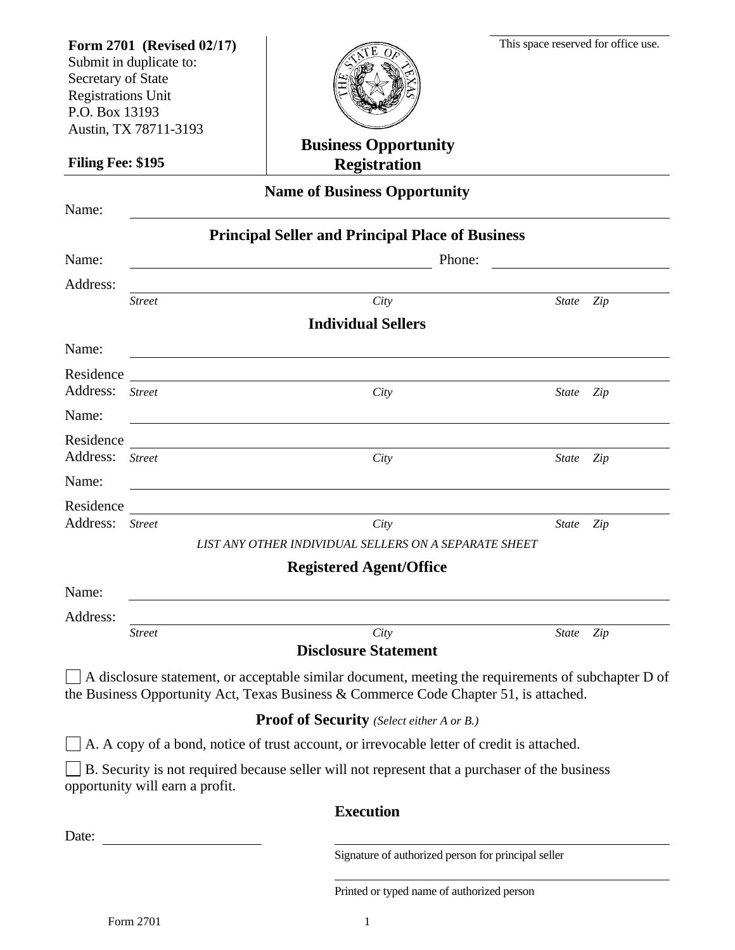| Form 2701 (Revised 02/17)<br>Submit in duplicate to:<br>Secretary of State<br><b>Registrations Unit</b><br>P.O. Box 13193<br>Austin, TX 78711-3193 |                                 | <b>Business Opportunity</b>                                                                                                                                                                  | This space reserved for office use. |     |
|----------------------------------------------------------------------------------------------------------------------------------------------------|---------------------------------|----------------------------------------------------------------------------------------------------------------------------------------------------------------------------------------------|-------------------------------------|-----|
| Filing Fee: \$195                                                                                                                                  |                                 | <b>Registration</b>                                                                                                                                                                          |                                     |     |
| Name:                                                                                                                                              |                                 | <b>Name of Business Opportunity</b>                                                                                                                                                          |                                     |     |
| Name:                                                                                                                                              |                                 | <b>Principal Seller and Principal Place of Business</b><br>Phone:                                                                                                                            |                                     |     |
| Address:                                                                                                                                           | <b>Street</b>                   | City<br><b>Individual Sellers</b>                                                                                                                                                            | <b>State</b>                        | Zip |
| Name:                                                                                                                                              |                                 |                                                                                                                                                                                              |                                     |     |
| Residence<br>Address:                                                                                                                              | <b>Street</b>                   | City                                                                                                                                                                                         | State Zip                           |     |
| Name:                                                                                                                                              |                                 |                                                                                                                                                                                              |                                     |     |
| Residence<br>Address:                                                                                                                              | <b>Street</b>                   | City                                                                                                                                                                                         | State Zip                           |     |
| Name:                                                                                                                                              |                                 |                                                                                                                                                                                              |                                     |     |
| Residence<br>Address:                                                                                                                              | <b>Street</b>                   | City                                                                                                                                                                                         | State                               | Zip |
|                                                                                                                                                    |                                 | LIST ANY OTHER INDIVIDUAL SELLERS ON A SEPARATE SHEET<br><b>Registered Agent/Office</b>                                                                                                      |                                     |     |
| Name:                                                                                                                                              |                                 |                                                                                                                                                                                              |                                     |     |
| Address:                                                                                                                                           |                                 |                                                                                                                                                                                              |                                     |     |
|                                                                                                                                                    | <b>Street</b>                   | City<br><b>Disclosure Statement</b>                                                                                                                                                          | State Zip                           |     |
|                                                                                                                                                    |                                 | A disclosure statement, or acceptable similar document, meeting the requirements of subchapter D of<br>the Business Opportunity Act, Texas Business & Commerce Code Chapter 51, is attached. |                                     |     |
|                                                                                                                                                    |                                 | <b>Proof of Security</b> (Select either A or B.)                                                                                                                                             |                                     |     |
|                                                                                                                                                    |                                 | A. A copy of a bond, notice of trust account, or irrevocable letter of credit is attached.                                                                                                   |                                     |     |
|                                                                                                                                                    | opportunity will earn a profit. | B. Security is not required because seller will not represent that a purchaser of the business                                                                                               |                                     |     |
|                                                                                                                                                    |                                 | <b>Execution</b>                                                                                                                                                                             |                                     |     |
| Date:                                                                                                                                              |                                 |                                                                                                                                                                                              |                                     |     |
|                                                                                                                                                    |                                 | Signature of authorized person for principal seller                                                                                                                                          |                                     |     |

Printed or typed name of authorized person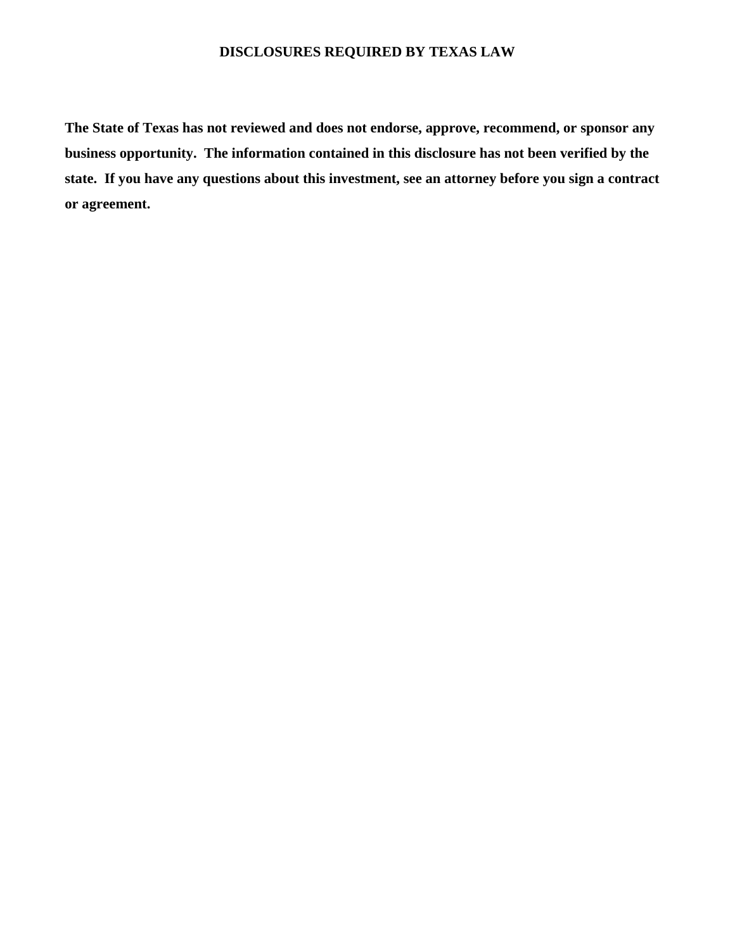## **DISCLOSURES REQUIRED BY TEXAS LAW**

**The State of Texas has not reviewed and does not endorse, approve, recommend, or sponsor any business opportunity. The information contained in this disclosure has not been verified by the state. If you have any questions about this investment, see an attorney before you sign a contract or agreement.**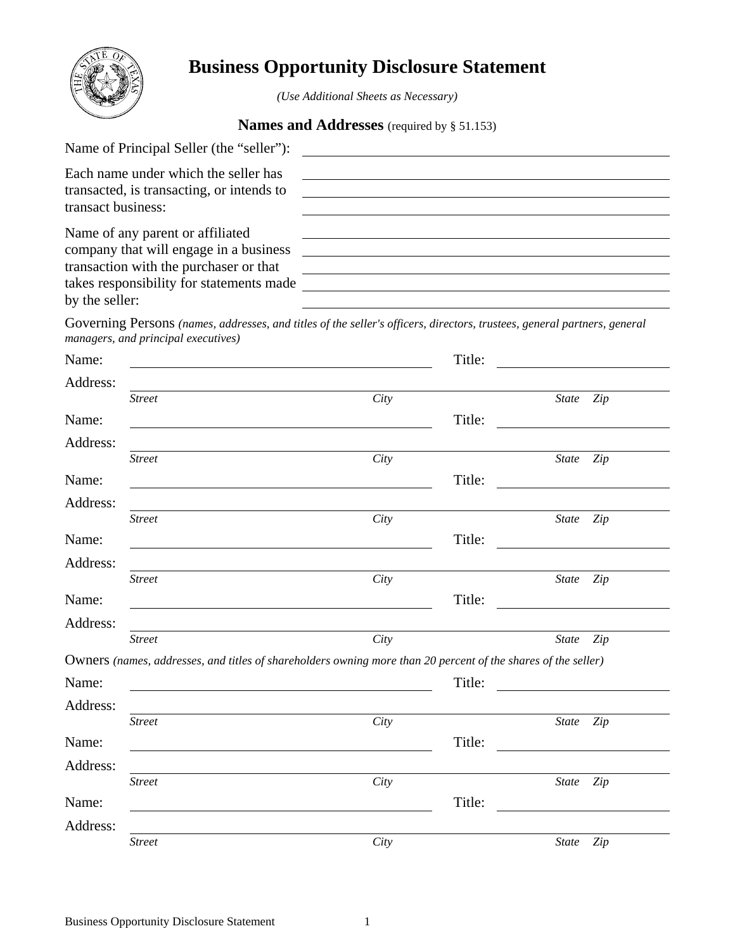

# **Business Opportunity Disclosure Statement**

*(Use Additional Sheets as Necessary)* 

#### **Names and Addresses** (required by § 51.153)

| Name of Principal Seller (the "seller"):                                                                |  |
|---------------------------------------------------------------------------------------------------------|--|
| Each name under which the seller has<br>transacted, is transacting, or intends to<br>transact business: |  |
| Name of any parent or affiliated<br>company that will engage in a business                              |  |
| transaction with the purchaser or that                                                                  |  |
| takes responsibility for statements made                                                                |  |
| by the seller:                                                                                          |  |

Governing Persons *(names, addresses, and titles of the seller's officers, directors, trustees, general partners, general managers, and principal executives)* 

| Name:    |               |                                                                                                               | Title: |                     |
|----------|---------------|---------------------------------------------------------------------------------------------------------------|--------|---------------------|
| Address: |               |                                                                                                               |        |                     |
|          | <b>Street</b> | City                                                                                                          |        | <b>State</b><br>Zip |
| Name:    |               |                                                                                                               | Title: |                     |
| Address: |               |                                                                                                               |        |                     |
|          | <b>Street</b> | City                                                                                                          |        | Zip<br><b>State</b> |
| Name:    |               |                                                                                                               | Title: |                     |
| Address: |               |                                                                                                               |        |                     |
|          | <b>Street</b> | City                                                                                                          |        | <b>State</b><br>Zip |
| Name:    |               |                                                                                                               | Title: |                     |
| Address: |               |                                                                                                               |        |                     |
|          | <b>Street</b> | City                                                                                                          |        | State<br>Zip        |
| Name:    |               |                                                                                                               | Title: |                     |
| Address: |               |                                                                                                               |        |                     |
|          | <b>Street</b> | City                                                                                                          |        | State<br>Zip        |
|          |               | Owners (names, addresses, and titles of shareholders owning more than 20 percent of the shares of the seller) |        |                     |
| Name:    |               |                                                                                                               | Title: |                     |
| Address: |               |                                                                                                               |        |                     |
|          | <b>Street</b> | City                                                                                                          |        | State<br>Zip        |
| Name:    |               |                                                                                                               | Title: |                     |
| Address: |               |                                                                                                               |        |                     |
|          | <b>Street</b> | City                                                                                                          |        | Zip<br>State        |
| Name:    |               |                                                                                                               | Title: |                     |
| Address: |               |                                                                                                               |        |                     |
|          | <b>Street</b> | City                                                                                                          |        | <b>State</b><br>Zip |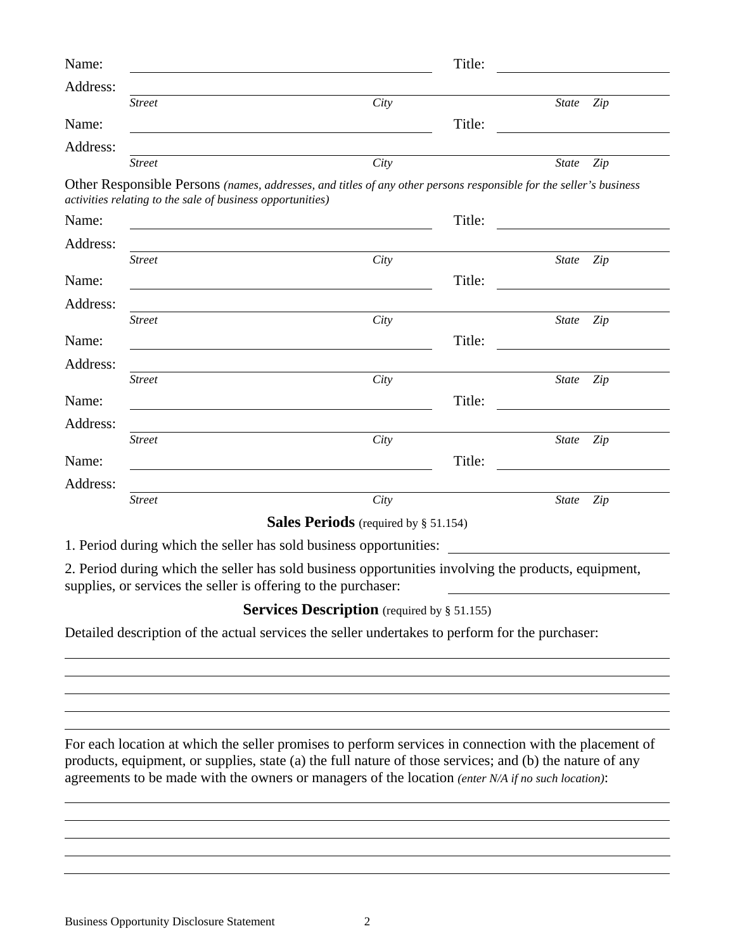| Name:    |                                                            |                                                                                                                       | Title: |              |     |
|----------|------------------------------------------------------------|-----------------------------------------------------------------------------------------------------------------------|--------|--------------|-----|
| Address: |                                                            |                                                                                                                       |        |              |     |
|          | <b>Street</b>                                              | City                                                                                                                  |        | <b>State</b> | Zip |
| Name:    |                                                            |                                                                                                                       | Title: |              |     |
| Address: |                                                            |                                                                                                                       |        |              |     |
|          | <b>Street</b>                                              | City                                                                                                                  |        | <i>State</i> | Zip |
|          | activities relating to the sale of business opportunities) | Other Responsible Persons (names, addresses, and titles of any other persons responsible for the seller's business    |        |              |     |
| Name:    |                                                            | <u> 1989 - Johann Stoff, deutscher Stoff, der Stoff, der Stoff, der Stoff, der Stoff, der Stoff, der Stoff, der S</u> | Title: |              |     |
| Address: |                                                            |                                                                                                                       |        |              |     |
|          | <b>Street</b>                                              | City                                                                                                                  |        | <b>State</b> | Zip |
| Name:    |                                                            |                                                                                                                       | Title: |              |     |
| Address: |                                                            |                                                                                                                       |        |              |     |
|          | <b>Street</b>                                              | City                                                                                                                  |        | <b>State</b> | Zip |
| Name:    |                                                            |                                                                                                                       | Title: |              |     |
| Address: |                                                            |                                                                                                                       |        |              |     |
|          | <b>Street</b>                                              | City                                                                                                                  |        | State Zip    |     |
| Name:    |                                                            |                                                                                                                       | Title: |              |     |
| Address: |                                                            |                                                                                                                       |        |              |     |
|          | <b>Street</b>                                              | City                                                                                                                  |        | State        | Zip |
| Name:    |                                                            |                                                                                                                       | Title: |              |     |
| Address: |                                                            |                                                                                                                       |        |              |     |
|          | <b>Street</b>                                              | City                                                                                                                  |        | State        | Zip |
|          |                                                            | <b>Sales Periods</b> (required by § 51.154)                                                                           |        |              |     |
|          |                                                            | 1. Period during which the seller has sold business opportunities:                                                    |        |              |     |

2. Period during which the seller has sold business opportunities involving the products, equipment, supplies, or services the seller is offering to the purchaser:

## **Services Description** (required by § 51.155)

Detailed description of the actual services the seller undertakes to perform for the purchaser:

For each location at which the seller promises to perform services in connection with the placement of products, equipment, or supplies, state (a) the full nature of those services; and (b) the nature of any agreements to be made with the owners or managers of the location *(enter N/A if no such location)*: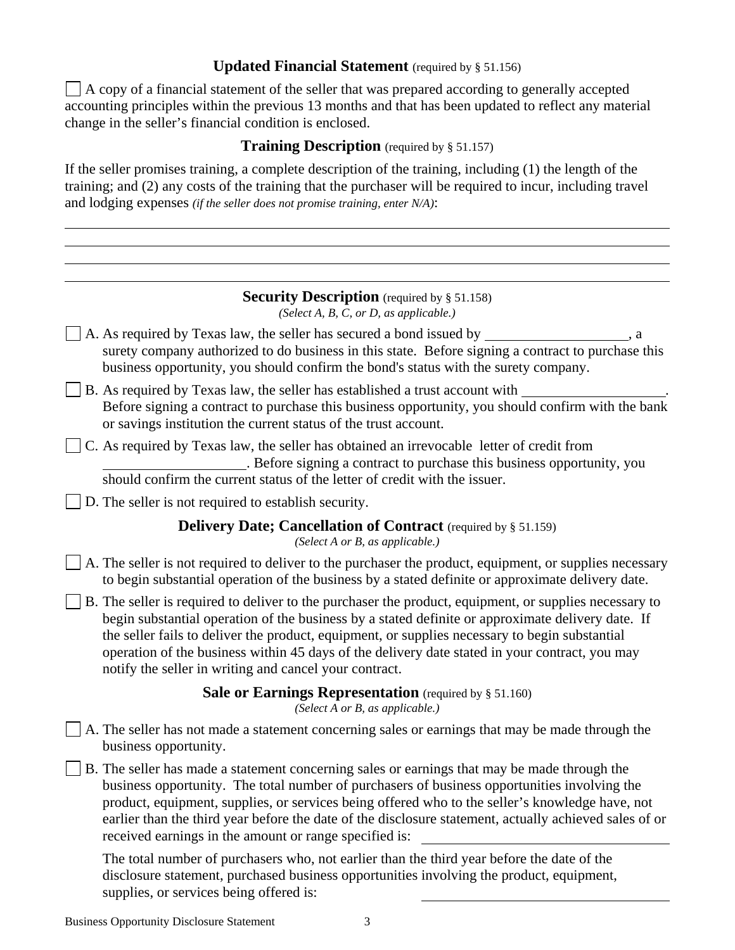## **Updated Financial Statement**  (required by § 51.156)

 $\Box$  A copy of a financial statement of the seller that was prepared according to generally accepted accounting principles within the previous 13 months and that has been updated to reflect any material change in the seller's financial condition is enclosed.

#### **Training Description** (required by § 51.157)

If the seller promises training, a complete description of the training, including (1) the length of the training; and (2) any costs of the training that the purchaser will be required to incur, including travel and lodging expenses *(if the seller does not promise training, enter N/A)*:

#### **Security Description** (required by § 51.158) *(Select A, B, C, or D, as applicable.)*

- $\Box$  A. As required by Texas law, the seller has secured a bond issued by  $\Box$ surety company authorized to do business in this state. Before signing a contract to purchase this business opportunity, you should confirm the bond's status with the surety company.
- $\vert \vert$  B. As required by Texas law, the seller has established a trust account with Before signing a contract to purchase this business opportunity, you should confirm with the bank or savings institution the current status of the trust account.
- C. As required by Texas law, the seller has obtained an irrevocable letter of credit from . Before signing a contract to purchase this business opportunity, you should confirm the current status of the letter of credit with the issuer.
- D. The seller is not required to establish security.

### **Delivery Date; Cancellation of Contract** (required by § 51.159)

*(Select A or B, as applicable.)*

- $\Box$  A. The seller is not required to deliver to the purchaser the product, equipment, or supplies necessary to begin substantial operation of the business by a stated definite or approximate delivery date.
- $\Box$  B. The seller is required to deliver to the purchaser the product, equipment, or supplies necessary to begin substantial operation of the business by a stated definite or approximate delivery date. If the seller fails to deliver the product, equipment, or supplies necessary to begin substantial operation of the business within 45 days of the delivery date stated in your contract, you may notify the seller in writing and cancel your contract.

### **Sale or Earnings Representation** (required by § 51.160)

*(Select A or B, as applicable.)*

- A. The seller has not made a statement concerning sales or earnings that may be made through the business opportunity.
- B. The seller has made a statement concerning sales or earnings that may be made through the business opportunity. The total number of purchasers of business opportunities involving the product, equipment, supplies, or services being offered who to the seller's knowledge have, not earlier than the third year before the date of the disclosure statement, actually achieved sales of or received earnings in the amount or range specified is:

The total number of purchasers who, not earlier than the third year before the date of the disclosure statement, purchased business opportunities involving the product, equipment, supplies, or services being offered is: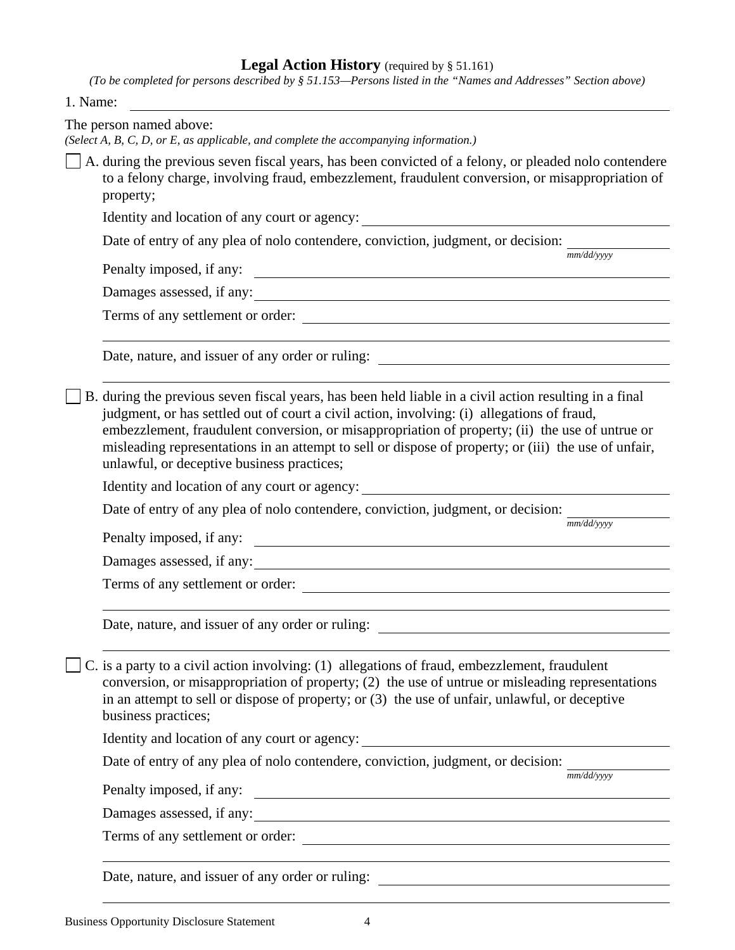#### **Legal Action History** (required by § 51.161)

*(To be completed for persons described by § 51.153—Persons listed in the "Names and Addresses" Section above)* 

|  |  | 1. Name: |
|--|--|----------|
|--|--|----------|

| The person named above:<br>(Select A, B, C, D, or E, as applicable, and complete the accompanying information.)                                                                                                                                                                                                                                                                                                                                               |
|---------------------------------------------------------------------------------------------------------------------------------------------------------------------------------------------------------------------------------------------------------------------------------------------------------------------------------------------------------------------------------------------------------------------------------------------------------------|
| $\Box$ A. during the previous seven fiscal years, has been convicted of a felony, or pleaded nolo contendere<br>to a felony charge, involving fraud, embezzlement, fraudulent conversion, or misappropriation of<br>property;                                                                                                                                                                                                                                 |
|                                                                                                                                                                                                                                                                                                                                                                                                                                                               |
| Date of entry of any plea of nolo contendere, conviction, judgment, or decision:                                                                                                                                                                                                                                                                                                                                                                              |
| mm/dd/vvvv<br>Penalty imposed, if any:                                                                                                                                                                                                                                                                                                                                                                                                                        |
| Damages assessed, if any:                                                                                                                                                                                                                                                                                                                                                                                                                                     |
| Terms of any settlement or order:                                                                                                                                                                                                                                                                                                                                                                                                                             |
|                                                                                                                                                                                                                                                                                                                                                                                                                                                               |
| B. during the previous seven fiscal years, has been held liable in a civil action resulting in a final<br>judgment, or has settled out of court a civil action, involving: (i) allegations of fraud,<br>embezzlement, fraudulent conversion, or misappropriation of property; (ii) the use of untrue or<br>misleading representations in an attempt to sell or dispose of property; or (iii) the use of unfair,<br>unlawful, or deceptive business practices; |
| Identity and location of any court or agency: ___________________________________                                                                                                                                                                                                                                                                                                                                                                             |
| Date of entry of any plea of nolo contendere, conviction, judgment, or decision: $\frac{1}{nm/dd\sqrt{yyy}}$                                                                                                                                                                                                                                                                                                                                                  |
| Penalty imposed, if any:                                                                                                                                                                                                                                                                                                                                                                                                                                      |
| Damages assessed, if any:                                                                                                                                                                                                                                                                                                                                                                                                                                     |
| Terms of any settlement or order:                                                                                                                                                                                                                                                                                                                                                                                                                             |
| Date, nature, and issuer of any order or ruling:                                                                                                                                                                                                                                                                                                                                                                                                              |
| $\Box$ C. is a party to a civil action involving: (1) allegations of fraud, embezzlement, fraudulent<br>conversion, or misappropriation of property; (2) the use of untrue or misleading representations<br>in an attempt to sell or dispose of property; or (3) the use of unfair, unlawful, or deceptive<br>business practices;                                                                                                                             |
|                                                                                                                                                                                                                                                                                                                                                                                                                                                               |
| Date of entry of any plea of nolo contendere, conviction, judgment, or decision: $\frac{1}{nm/dd/yyyy}$                                                                                                                                                                                                                                                                                                                                                       |
| <u> 1989 - Johann Stoff, deutscher Stoffen und der Stoffen und der Stoffen und der Stoffen und der Stoffen und der</u><br>Penalty imposed, if any:                                                                                                                                                                                                                                                                                                            |
| Damages assessed, if any:                                                                                                                                                                                                                                                                                                                                                                                                                                     |
| Terms of any settlement or order:                                                                                                                                                                                                                                                                                                                                                                                                                             |
|                                                                                                                                                                                                                                                                                                                                                                                                                                                               |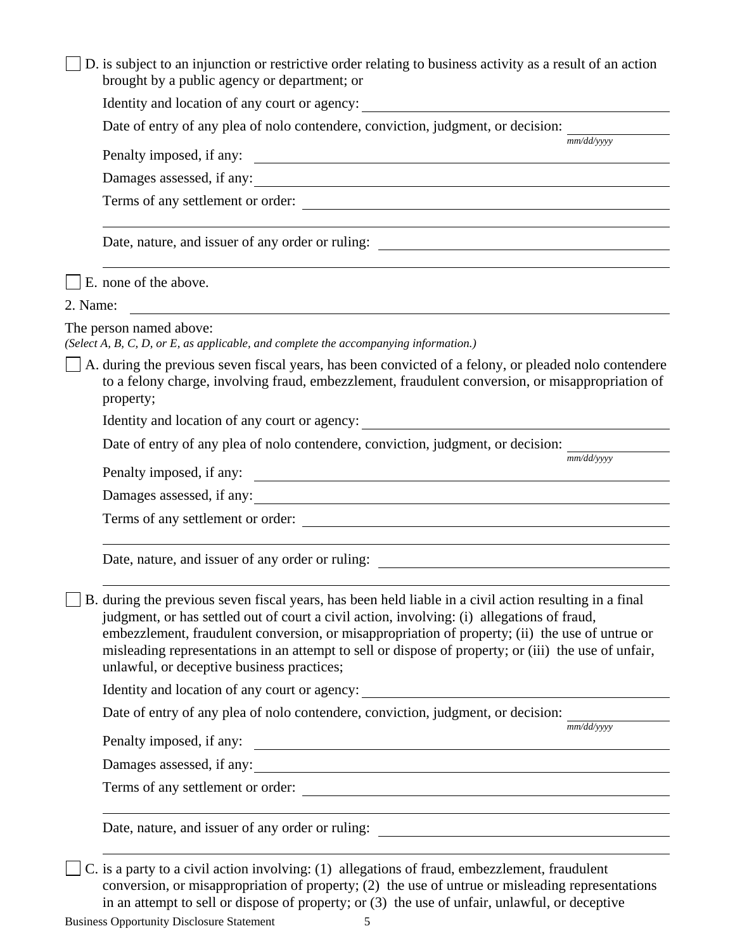| D. is subject to an injunction or restrictive order relating to business activity as a result of an action<br>brought by a public agency or department; or                                                                                                                                                                                                                                                                                                    |            |
|---------------------------------------------------------------------------------------------------------------------------------------------------------------------------------------------------------------------------------------------------------------------------------------------------------------------------------------------------------------------------------------------------------------------------------------------------------------|------------|
|                                                                                                                                                                                                                                                                                                                                                                                                                                                               |            |
| Date of entry of any plea of nolo contendere, conviction, judgment, or decision:                                                                                                                                                                                                                                                                                                                                                                              |            |
| Penalty imposed, if any:                                                                                                                                                                                                                                                                                                                                                                                                                                      | mm/dd/yyyy |
| Damages assessed, if any:                                                                                                                                                                                                                                                                                                                                                                                                                                     |            |
| Terms of any settlement or order:                                                                                                                                                                                                                                                                                                                                                                                                                             |            |
|                                                                                                                                                                                                                                                                                                                                                                                                                                                               |            |
| E. none of the above.                                                                                                                                                                                                                                                                                                                                                                                                                                         |            |
| 2. Name:                                                                                                                                                                                                                                                                                                                                                                                                                                                      |            |
| The person named above:<br>(Select A, B, C, D, or E, as applicable, and complete the accompanying information.)                                                                                                                                                                                                                                                                                                                                               |            |
| A. during the previous seven fiscal years, has been convicted of a felony, or pleaded nolo contendere<br>to a felony charge, involving fraud, embezzlement, fraudulent conversion, or misappropriation of<br>property;                                                                                                                                                                                                                                        |            |
|                                                                                                                                                                                                                                                                                                                                                                                                                                                               |            |
| Date of entry of any plea of nolo contendere, conviction, judgment, or decision:                                                                                                                                                                                                                                                                                                                                                                              |            |
|                                                                                                                                                                                                                                                                                                                                                                                                                                                               | mm/dd/yyyy |
| Damages assessed, if any:                                                                                                                                                                                                                                                                                                                                                                                                                                     |            |
| Terms of any settlement or order:                                                                                                                                                                                                                                                                                                                                                                                                                             |            |
|                                                                                                                                                                                                                                                                                                                                                                                                                                                               |            |
| B. during the previous seven fiscal years, has been held liable in a civil action resulting in a final<br>judgment, or has settled out of court a civil action, involving: (i) allegations of fraud,<br>embezzlement, fraudulent conversion, or misappropriation of property; (ii) the use of untrue or<br>misleading representations in an attempt to sell or dispose of property; or (iii) the use of unfair,<br>unlawful, or deceptive business practices; |            |
|                                                                                                                                                                                                                                                                                                                                                                                                                                                               |            |
| Date of entry of any plea of nolo contendere, conviction, judgment, or decision: $\frac{1}{\text{mm}/\text{dd}/\text{yyy}}$                                                                                                                                                                                                                                                                                                                                   |            |
| Penalty imposed, if any:                                                                                                                                                                                                                                                                                                                                                                                                                                      |            |
| Damages assessed, if any:<br><u> 1989 - Johann Stoff, deutscher Stoffen und der Stoffen und der Stoffen und der Stoffen und der Stoffen und de</u>                                                                                                                                                                                                                                                                                                            |            |
| Terms of any settlement or order:                                                                                                                                                                                                                                                                                                                                                                                                                             |            |
|                                                                                                                                                                                                                                                                                                                                                                                                                                                               |            |
| C. is a party to a civil action involving: (1) allegations of fraud, embezzlement, fraudulent                                                                                                                                                                                                                                                                                                                                                                 |            |

conversion, or misappropriation of property; (2) the use of untrue or misleading representations in an attempt to sell or dispose of property; or  $(3)$  the use of unfair, unlawful, or deceptive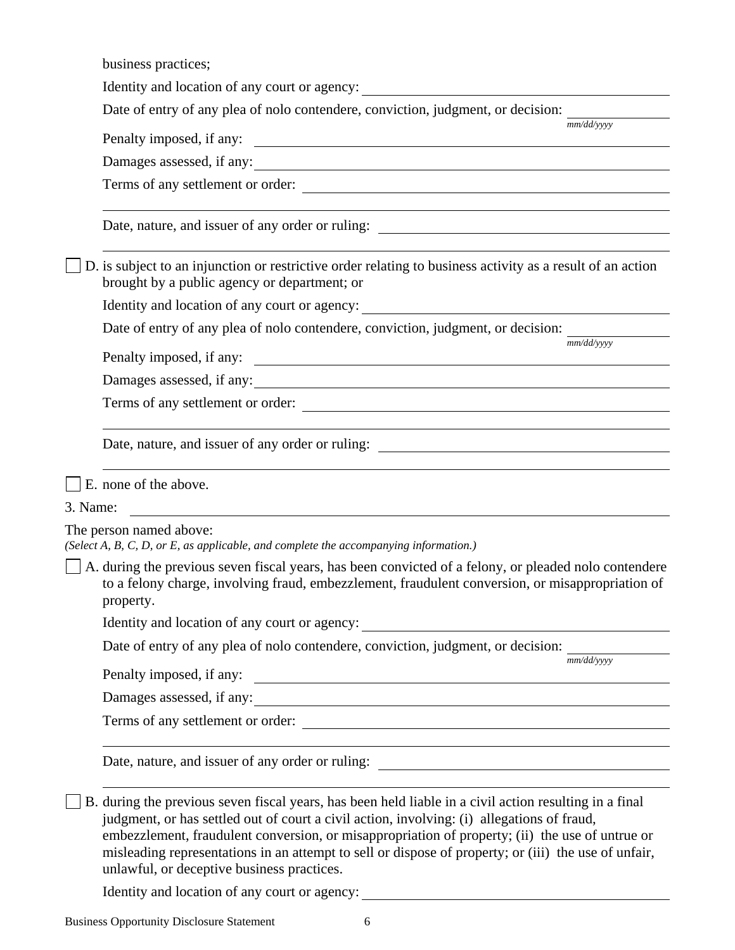Terms of any settlement or order: Terms of any settlement or order: Identity and location of any court or agency: business practices; Identity and location of any court or agency: Date of entry of any plea of nolo contendere, conviction, judgment, or decision: *mm/dd/yyyy*  Penalty imposed, if any: Damages assessed, if any: Terms of any settlement or order: Date, nature, and issuer of any order or ruling: D. is subject to an injunction or restrictive order relating to business activity as a result of an action brought by a public agency or department; or Date of entry of any plea of nolo contendere, conviction, judgment, or decision: *mm/dd/yyyy*  Penalty imposed, if any: Damages assessed, if any: Date, nature, and issuer of any order or ruling: E. none of the above. 3. Name: The person named above: *(Select A, B, C, D, or E, as applicable, and complete the accompanying information.)* A. during the previous seven fiscal years, has been convicted of a felony, or pleaded nolo contendere to a felony charge, involving fraud, embezzlement, fraudulent conversion, or misappropriation of property. Identity and location of any court or agency: Date of entry of any plea of nolo contendere, conviction, judgment, or decision: *mm/dd/yyyy*  Penalty imposed, if any: Damages assessed, if any: Date, nature, and issuer of any order or ruling: B. during the previous seven fiscal years, has been held liable in a civil action resulting in a final judgment, or has settled out of court a civil action, involving: (i) allegations of fraud, embezzlement, fraudulent conversion, or misappropriation of property; (ii) the use of untrue or misleading representations in an attempt to sell or dispose of property; or (iii) the use of unfair, unlawful, or deceptive business practices.

Identity and location of any court or agency: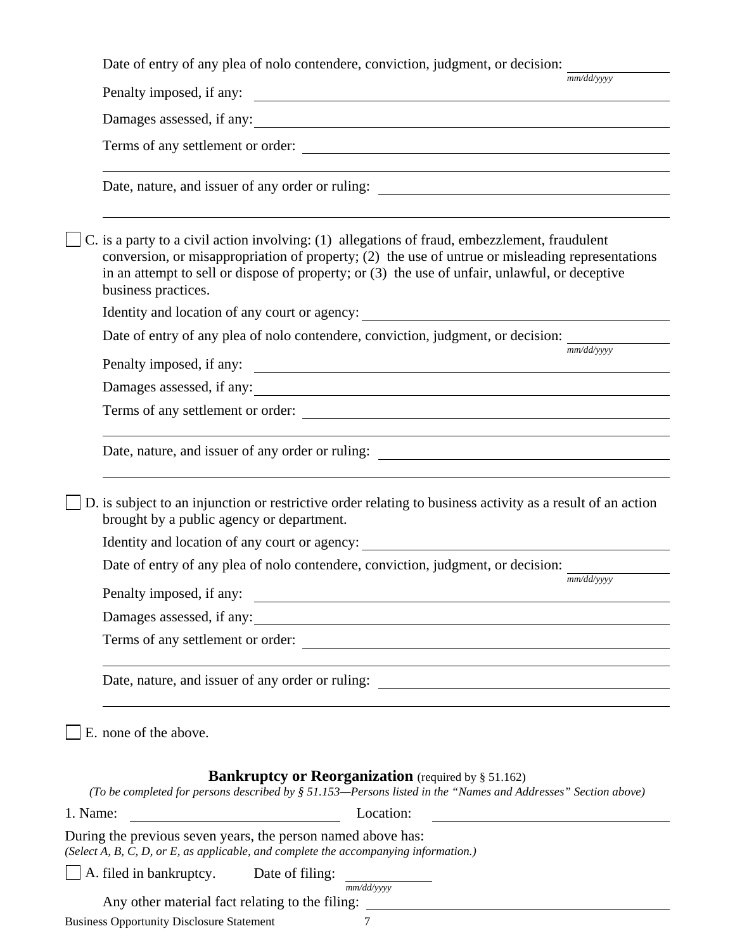Date of entry of any plea of nolo contendere, conviction, judgment, or decision:

*mm/dd/yyyy*  Penalty imposed, if any:  $\qquad \qquad$ Damages assessed, if any: Terms of any settlement or order: Date, nature, and issuer of any order or ruling:  $\mathcal{C}$ . is a party to a civil action involving: (1) allegations of fraud, embezzlement, fraudulent conversion, or misappropriation of property; (2) the use of untrue or misleading representations in an attempt to sell or dispose of property; or (3) the use of unfair, unlawful, or deceptive business practices. Identity and location of any court or agency: Date of entry of any plea of nolo contendere, conviction, judgment, or decision: *mm/dd/yyyy*  Penalty imposed, if any: Damages assessed, if any: Terms of any settlement or order: Date, nature, and issuer of any order or ruling: D. is subject to an injunction or restrictive order relating to business activity as a result of an action brought by a public agency or department. Identity and location of any court or agency: Date of entry of any plea of nolo contendere, conviction, judgment, or decision: *mm/dd/yyyy*  Penalty imposed, if any: Damages assessed, if any: Terms of any settlement or order: Date, nature, and issuer of any order or ruling: E. none of the above. **Bankruptcy or Reorganization** (required by § 51.162) *(To be completed for persons described by § 51.153—Persons listed in the "Names and Addresses" Section above)*  1. Name: Location: During the previous seven years, the person named above has: *(Select A, B, C, D, or E, as applicable, and complete the accompanying information.)*

 A. filed in bankruptcy. Date of filing: *mm/dd/yyyy* 

Any other material fact relating to the filing: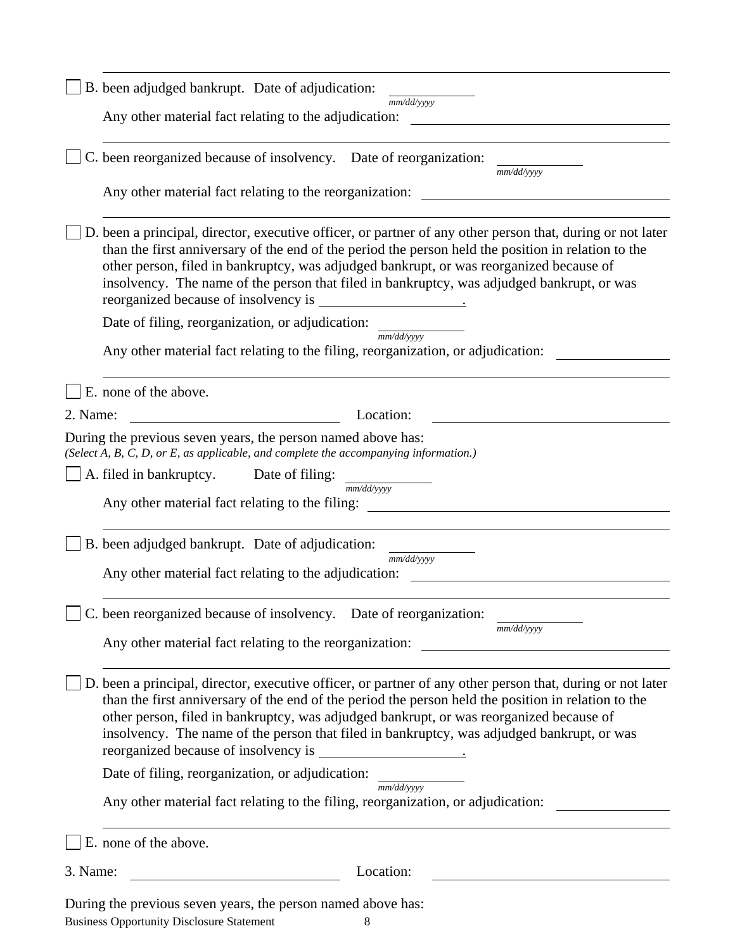| B. been adjudged bankrupt. Date of adjudication:                                                                                                                                                                                                                                                                                                                                                           |
|------------------------------------------------------------------------------------------------------------------------------------------------------------------------------------------------------------------------------------------------------------------------------------------------------------------------------------------------------------------------------------------------------------|
| mm/dd/yyyy<br>Any other material fact relating to the adjudication:                                                                                                                                                                                                                                                                                                                                        |
| C. been reorganized because of insolvency. Date of reorganization:<br>mm/dd/yyyy                                                                                                                                                                                                                                                                                                                           |
| Any other material fact relating to the reorganization:                                                                                                                                                                                                                                                                                                                                                    |
| D. been a principal, director, executive officer, or partner of any other person that, during or not later<br>than the first anniversary of the end of the period the person held the position in relation to the<br>other person, filed in bankruptcy, was adjudged bankrupt, or was reorganized because of<br>insolvency. The name of the person that filed in bankruptcy, was adjudged bankrupt, or was |
| Date of filing, reorganization, or adjudication:                                                                                                                                                                                                                                                                                                                                                           |
| mm/dd/yyyy<br>Any other material fact relating to the filing, reorganization, or adjudication:                                                                                                                                                                                                                                                                                                             |
| E. none of the above.                                                                                                                                                                                                                                                                                                                                                                                      |
| 2. Name:<br>Location:<br><u> 1989 - Johann Barnett, fransk politiker (</u>                                                                                                                                                                                                                                                                                                                                 |
| During the previous seven years, the person named above has:<br>(Select A, B, C, D, or E, as applicable, and complete the accompanying information.)                                                                                                                                                                                                                                                       |
| A. filed in bankruptcy.<br>Date of filing:                                                                                                                                                                                                                                                                                                                                                                 |
| mm/dd/yyyy<br>Any other material fact relating to the filing:                                                                                                                                                                                                                                                                                                                                              |
| B. been adjudged bankrupt. Date of adjudication:                                                                                                                                                                                                                                                                                                                                                           |
| mm/dd/yyyy<br>Any other material fact relating to the adjudication:                                                                                                                                                                                                                                                                                                                                        |
| been reorganized because of insolvency. Date of reorganization:<br>mm/dd/yyyy                                                                                                                                                                                                                                                                                                                              |
| Any other material fact relating to the reorganization:<br><u> 1980 - Jan Stein Stein Stein Stein Stein Stein Stein Stein Stein Stein Stein Stein Stein Stein Stein Stein S</u>                                                                                                                                                                                                                            |
| D. been a principal, director, executive officer, or partner of any other person that, during or not later<br>than the first anniversary of the end of the period the person held the position in relation to the<br>other person, filed in bankruptcy, was adjudged bankrupt, or was reorganized because of<br>insolvency. The name of the person that filed in bankruptcy, was adjudged bankrupt, or was |
| Date of filing, reorganization, or adjudication:<br>mm/dd/vvvv                                                                                                                                                                                                                                                                                                                                             |
| Any other material fact relating to the filing, reorganization, or adjudication:                                                                                                                                                                                                                                                                                                                           |
| E. none of the above.                                                                                                                                                                                                                                                                                                                                                                                      |
| Location:<br>3. Name:                                                                                                                                                                                                                                                                                                                                                                                      |
| During the previous seven years, the person named above has:<br><b>Business Opportunity Disclosure Statement</b><br>8                                                                                                                                                                                                                                                                                      |